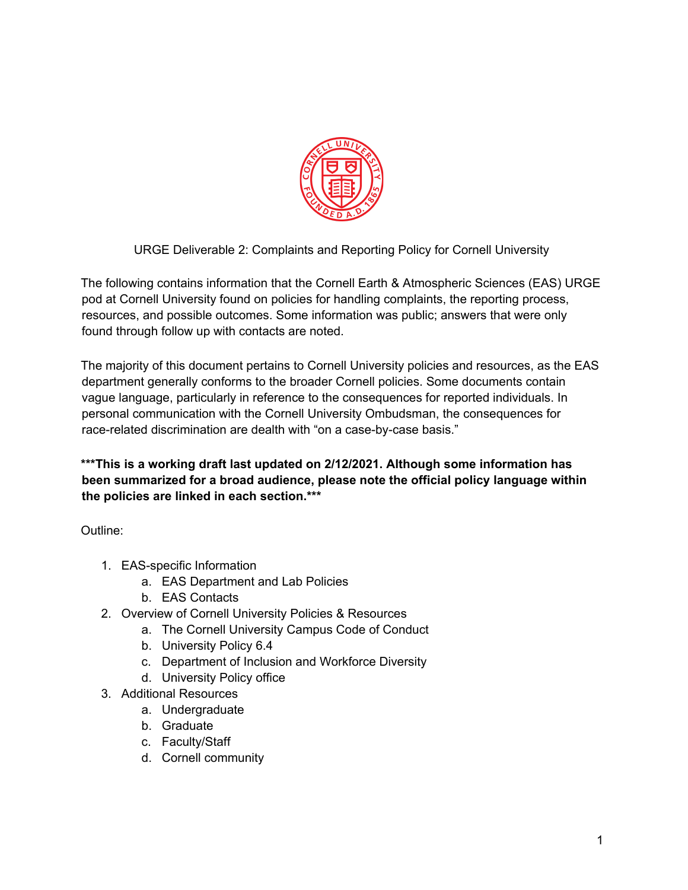

URGE Deliverable 2: Complaints and Reporting Policy for Cornell University

The following contains information that the Cornell Earth & Atmospheric Sciences (EAS) URGE pod at Cornell University found on policies for handling complaints, the reporting process, resources, and possible outcomes. Some information was public; answers that were only found through follow up with contacts are noted.

The majority of this document pertains to Cornell University policies and resources, as the EAS department generally conforms to the broader Cornell policies. Some documents contain vague language, particularly in reference to the consequences for reported individuals. In personal communication with the Cornell University Ombudsman, the consequences for race-related discrimination are dealth with "on a case-by-case basis."

**\*\*\*This is a working draft last updated on 2/12/2021. Although some information has been summarized for a broad audience, please note the official policy language within the policies are linked in each section.\*\*\***

Outline:

- 1. EAS-specific Information
	- a. EAS Department and Lab Policies
	- b. EAS Contacts
- 2. Overview of Cornell University Policies & Resources
	- a. The Cornell University Campus Code of Conduct
	- b. University Policy 6.4
	- c. Department of Inclusion and Workforce Diversity
	- d. University Policy office
- 3. Additional Resources
	- a. Undergraduate
	- b. Graduate
	- c. Faculty/Staff
	- d. Cornell community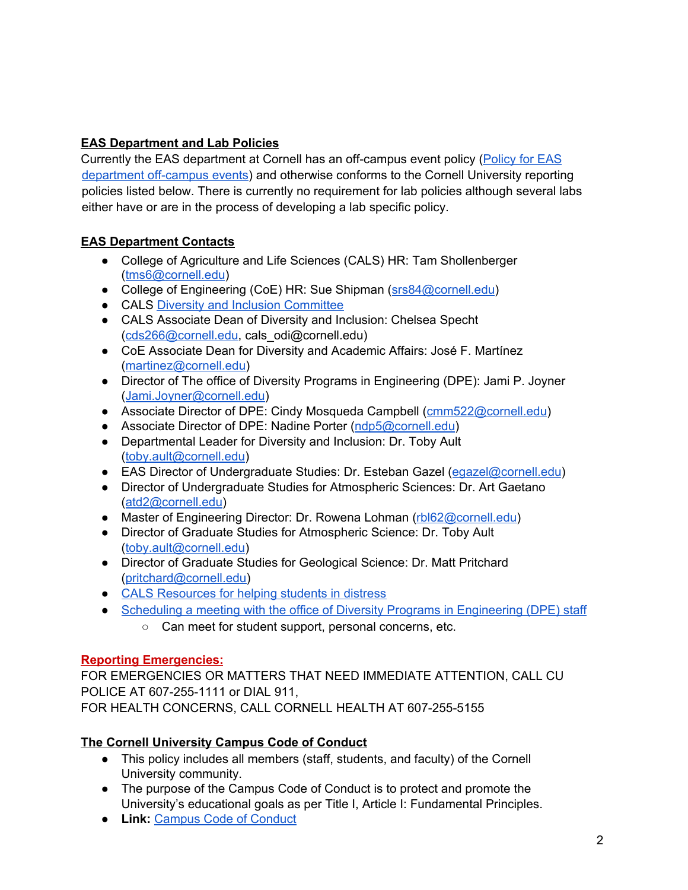# **EAS Department and Lab Policies**

Currently the EAS department at Cornell has an off-campus event policy [\(Policy](https://www.eas.cornell.edu/sites/default/files/users/user234/EAS-off-campus-policy.pdf) for EAS [department](https://www.eas.cornell.edu/sites/default/files/users/user234/EAS-off-campus-policy.pdf) off-campus events) and otherwise conforms to the Cornell University reporting policies listed below. There is currently no requirement for lab policies although several labs either have or are in the process of developing a lab specific policy.

# **EAS Department Contacts**

- College of Agriculture and Life Sciences (CALS) HR: Tam Shollenberger ([tms6@cornell.edu](mailto:tms6@cornell.edu))
- College of Engineering (CoE) HR: Sue Shipman ([srs84@cornell.edu](mailto:srs84@cornell.edu))
- CALS Diversity and Inclusion [Committee](https://cals.cornell.edu/faculty-staff/faculty-governance/standing-committees/cals-diversity-and-inclusion-committee)
- CALS Associate Dean of Diversity and Inclusion: Chelsea Specht ([cds266@cornell.edu](mailto:cds266@cornell.edu), cals\_odi@cornell.edu)
- CoE Associate Dean for Diversity and Academic Affairs: José F. Martínez ([martinez@cornell.edu\)](mailto:martinez@cornell.edu)
- Director of The office of Diversity Programs in Engineering (DPE): Jami P. Joyner ([Jami.Joyner@cornell.edu\)](mailto:Jami.Joyner@cornell.edu)
- Associate Director of DPE: Cindy Mosqueda Campbell ([cmm522@cornell.edu](mailto:cmm522@cornell.edu))
- Associate Director of DPE: Nadine Porter ([ndp5@cornell.edu](mailto:ndp5@cornell.edu))
- Departmental Leader for Diversity and Inclusion: Dr. Toby Ault ([toby.ault@cornell.edu](mailto:toby.ault@cornell.edu))
- EAS Director of Undergraduate Studies: Dr. Esteban Gazel ([egazel@cornell.edu\)](mailto:egazel@cornell.edu)
- Director of Undergraduate Studies for Atmospheric Sciences: Dr. Art Gaetano ([atd2@cornell.edu](mailto:atd2@cornell.edu))
- Master of Engineering Director: Dr. Rowena Lohman [\(rbl62@cornell.edu](mailto:rbl62@cornell.edu))
- Director of Graduate Studies for Atmospheric Science: Dr. Toby Ault ([toby.ault@cornell.edu](mailto:toby.ault@cornell.edu))
- Director of Graduate Studies for Geological Science: Dr. Matt Pritchard ([pritchard@cornell.edu\)](mailto:pritchard@cornell.edu)
- CALS Resources for helping [students](https://cals.cornell.edu/faculty-staff/advising-resources/recognizing-and-helping-students-distress) in distress
- Scheduling a meeting with the office of Diversity Programs in [Engineering](https://outlook.office365.com/owa/calendar/engineeringdiversity@cornellprod.onmicrosoft.com/bookings/) (DPE) staff
	- Can meet for student support, personal concerns, etc.

## **Reporting Emergencies:**

FOR EMERGENCIES OR MATTERS THAT NEED IMMEDIATE ATTENTION, CALL CU POLICE AT 607-255-1111 or DIAL 911, FOR HEALTH CONCERNS, CALL CORNELL HEALTH AT 607-255-5155

# **The Cornell University Campus Code of Conduct**

- This policy includes all members (staff, students, and faculty) of the Cornell University community.
- The purpose of the Campus Code of Conduct is to protect and promote the University's educational goals as per Title I, Article I: Fundamental Principles.
- **Link:** Campus Code of [Conduct](https://www.dfa.cornell.edu/sites/default/files/policy/CCC.pdf)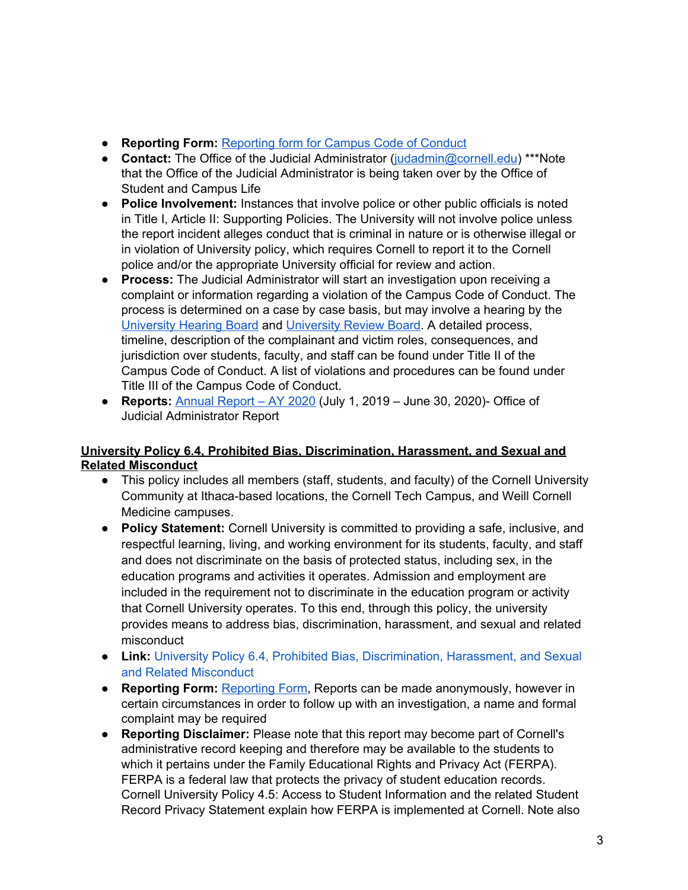- **Reporting Form:** [Reporting](https://cm.maxient.com/reportingform.php?CornellUniv&layout_id=42) form for Campus Code of Conduct
- **Contact:** The Office of the Judicial Administrator [\(judadmin@cornell.edu](mailto:judadmin@cornell.edu)) \*\*\*Note that the Office of the Judicial Administrator is being taken over by the Office of Student and Campus Life
- **Police Involvement:** Instances that involve police or other public officials is noted in Title I, Article II: Supporting Policies. The University will not involve police unless the report incident alleges conduct that is criminal in nature or is otherwise illegal or in violation of University policy, which requires Cornell to report it to the Cornell police and/or the appropriate University official for review and action.
- **● Process:** The Judicial Administrator will start an investigation upon receiving a complaint or information regarding a violation of the Campus Code of Conduct. The process is determined on a case by case basis, but may involve a hearing by the [University](https://cpb-us-e1.wpmucdn.com/blogs.cornell.edu/dist/d/2780/files/2013/01/UHB-Procedures-xpjal0.pdf) Hearing Board and [University](https://cpb-us-e1.wpmucdn.com/blogs.cornell.edu/dist/d/2780/files/2013/01/URB-Procedures-1573ryx.pdf) Review Board. A detailed process, timeline, description of the complainant and victim roles, consequences, and jurisdiction over students, faculty, and staff can be found under Title II of the Campus Code of Conduct. A list of violations and procedures can be found under Title III of the Campus Code of Conduct.
- **● Reports:** [Annual](https://judicialadministrator.cornell.edu/files/2020/11/Annual-Report-AY-2020-1.pdf) Report AY 2020 (July 1, 2019 June 30, 2020)- Office of Judicial Administrator Report

## **University Policy 6.4, Prohibited Bias, Discrimination, Harassment, and Sexual and Related Misconduct**

- This policy includes all members (staff, students, and faculty) of the Cornell University Community at Ithaca-based locations, the Cornell Tech Campus, and Weill Cornell Medicine campuses.
- **Policy Statement:** Cornell University is committed to providing a safe, inclusive, and respectful learning, living, and working environment for its students, faculty, and staff and does not discriminate on the basis of protected status, including sex, in the education programs and activities it operates. Admission and employment are included in the requirement not to discriminate in the education program or activity that Cornell University operates. To this end, through this policy, the university provides means to address bias, discrimination, harassment, and sexual and related misconduct
- **Link:** University Policy 6.4, Prohibited Bias, [Discrimination,](https://www.dfa.cornell.edu/sites/default/files/vol6_4.pdf) Harassment, and Sexual and Related [Misconduct](https://www.dfa.cornell.edu/sites/default/files/vol6_4.pdf)
- **● Reporting Form:** [Reporting](https://cm.maxient.com/reportingform.php?CornellUniv&layout_id=6) Form, Reports can be made anonymously, however in certain circumstances in order to follow up with an investigation, a name and formal complaint may be required
- **● Reporting Disclaimer:** Please note that this report may become part of Cornell's administrative record keeping and therefore may be available to the students to which it pertains under the Family Educational Rights and Privacy Act (FERPA). FERPA is a federal law that protects the privacy of student education records. Cornell University Policy 4.5: Access to Student Information and the related Student Record Privacy Statement explain how FERPA is implemented at Cornell. Note also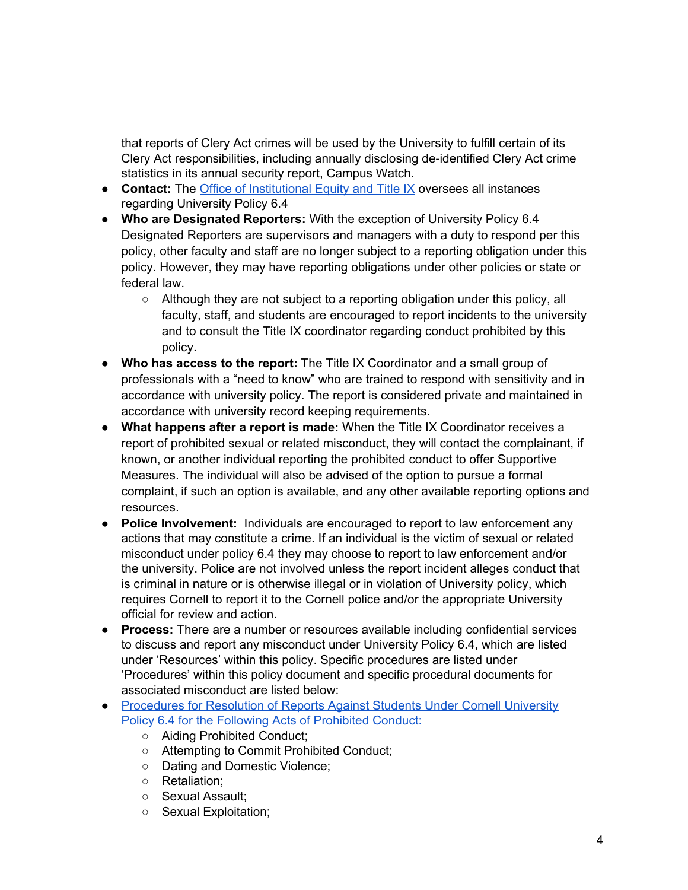that reports of Clery Act crimes will be used by the University to fulfill certain of its Clery Act responsibilities, including annually disclosing de-identified Clery Act crime statistics in its annual security report, Campus Watch.

- **● Contact:** The Office of [Institutional](https://titleix.cornell.edu/) Equity and Title IX oversees all instances regarding University Policy 6.4
- **Who are Designated Reporters:** With the exception of University Policy 6.4 Designated Reporters are supervisors and managers with a duty to respond per this policy, other faculty and staff are no longer subject to a reporting obligation under this policy. However, they may have reporting obligations under other policies or state or federal law.
	- Although they are not subject to a reporting obligation under this policy, all faculty, staff, and students are encouraged to report incidents to the university and to consult the Title IX coordinator regarding conduct prohibited by this policy.
- **Who has access to the report:** The Title IX Coordinator and a small group of professionals with a "need to know" who are trained to respond with sensitivity and in accordance with university policy. The report is considered private and maintained in accordance with university record keeping requirements.
- **What happens after a report is made:** When the Title IX Coordinator receives a report of prohibited sexual or related misconduct, they will contact the complainant, if known, or another individual reporting the prohibited conduct to offer Supportive Measures. The individual will also be advised of the option to pursue a formal complaint, if such an option is available, and any other available reporting options and resources.
- **Police Involvement:** Individuals are encouraged to report to law enforcement any actions that may constitute a crime. If an individual is the victim of sexual or related misconduct under policy 6.4 they may choose to report to law enforcement and/or the university. Police are not involved unless the report incident alleges conduct that is criminal in nature or is otherwise illegal or in violation of University policy, which requires Cornell to report it to the Cornell police and/or the appropriate University official for review and action.
- **● Process:** There are a number or resources available including confidential services to discuss and report any misconduct under University Policy 6.4, which are listed under 'Resources' within this policy. Specific procedures are listed under 'Procedures' within this policy document and specific procedural documents for associated misconduct are listed below:
- [Procedures](https://cpb-us-e1.wpmucdn.com/blogs.cornell.edu/dist/6/7016/files/2020/08/Procedures-for-Resolution-of-Reports-Against-Students-Under-Cornell-University-Policy-6.4-8.14.2020.pdf) for Resolution of Reports Against Students Under Cornell University Policy 6.4 for the Following Acts of [Prohibited](https://cpb-us-e1.wpmucdn.com/blogs.cornell.edu/dist/6/7016/files/2020/08/Procedures-for-Resolution-of-Reports-Against-Students-Under-Cornell-University-Policy-6.4-8.14.2020.pdf) Conduct:
	- Aiding Prohibited Conduct;
	- Attempting to Commit Prohibited Conduct;
	- Dating and Domestic Violence;
	- Retaliation;
	- Sexual Assault;
	- Sexual Exploitation;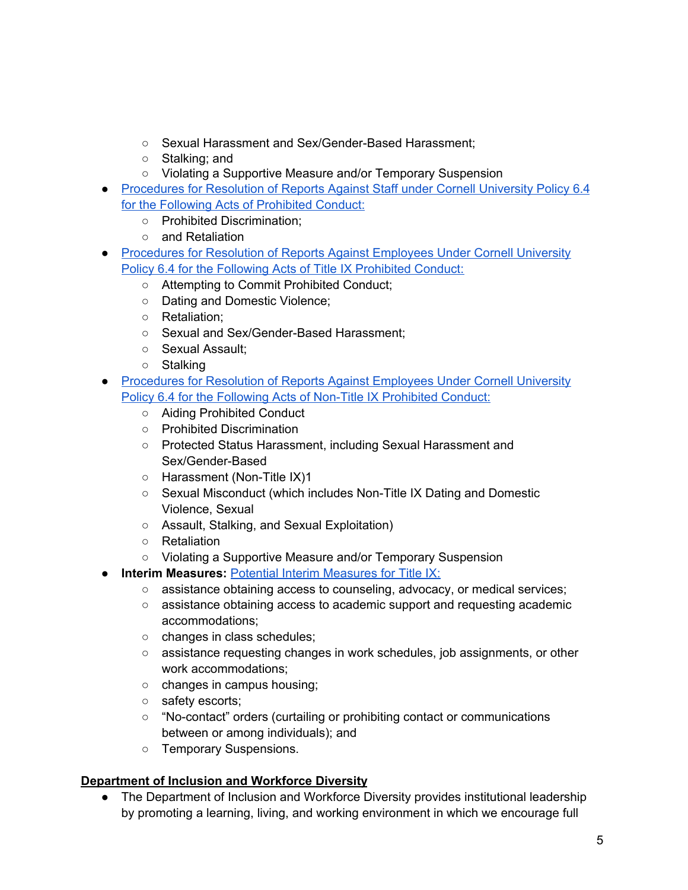- Sexual Harassment and Sex/Gender-Based Harassment;
- Stalking; and
- Violating a Supportive Measure and/or Temporary Suspension
- [Procedures](https://cpb-us-e1.wpmucdn.com/blogs.cornell.edu/dist/6/7016/files/2019/05/Procedures-for-Resolution-of-Reports-of-Prohibited-Discrimination-Against-Staff-Under-Cornell-University-Policy-6.4-6.1.2019-2.pdf) for Resolution of Reports Against Staff under Cornell University Policy 6.4 for the Following Acts of [Prohibited](https://cpb-us-e1.wpmucdn.com/blogs.cornell.edu/dist/6/7016/files/2019/05/Procedures-for-Resolution-of-Reports-of-Prohibited-Discrimination-Against-Staff-Under-Cornell-University-Policy-6.4-6.1.2019-2.pdf) Conduct:
	- Prohibited Discrimination;
	- and Retaliation
- [Procedures](https://cpb-us-e1.wpmucdn.com/blogs.cornell.edu/dist/6/7016/files/2020/08/Procedures-for-Resolution-of-Reports-Against-Employees-Under-Cornell-University-Policy-6.4-Title-IX-Prohibited-Conduct-8.14.2020.pdf) for Resolution of Reports Against Employees Under Cornell University Policy 6.4 for the Following Acts of Title IX [Prohibited](https://cpb-us-e1.wpmucdn.com/blogs.cornell.edu/dist/6/7016/files/2020/08/Procedures-for-Resolution-of-Reports-Against-Employees-Under-Cornell-University-Policy-6.4-Title-IX-Prohibited-Conduct-8.14.2020.pdf) Conduct:
	- Attempting to Commit Prohibited Conduct;
	- Dating and Domestic Violence;
	- Retaliation;
	- Sexual and Sex/Gender-Based Harassment;
	- Sexual Assault;
	- Stalking
- [Procedures](https://cpb-us-e1.wpmucdn.com/blogs.cornell.edu/dist/6/7016/files/2020/08/Procedures-for-Resolution-of-Reports-Against-Employees-Under-Cornell-University-Policy-6.4-Non-Title-IX-Prohibited-Conduct-8.14.2020.pdf) for Resolution of Reports Against Employees Under Cornell University Policy 6.4 for the Following Acts of Non-Title IX [Prohibited](https://cpb-us-e1.wpmucdn.com/blogs.cornell.edu/dist/6/7016/files/2020/08/Procedures-for-Resolution-of-Reports-Against-Employees-Under-Cornell-University-Policy-6.4-Non-Title-IX-Prohibited-Conduct-8.14.2020.pdf) Conduct:
	- Aiding Prohibited Conduct
	- Prohibited Discrimination
	- Protected Status Harassment, including Sexual Harassment and Sex/Gender-Based
	- Harassment (Non-Title IX)1
	- Sexual Misconduct (which includes Non-Title IX Dating and Domestic Violence, Sexual
	- Assault, Stalking, and Sexual Exploitation)
	- Retaliation
	- Violating a Supportive Measure and/or Temporary Suspension
- **Interim [Measures](http://titleix.cornell.edu/resources/interim_measures/): Potential Interim Measures for Title IX:** 
	- **○** assistance obtaining access to counseling, advocacy, or medical services;
	- **○** assistance obtaining access to academic support and requesting academic accommodations;
	- **○** changes in class schedules;
	- **○** assistance requesting changes in work schedules, job assignments, or other work accommodations;
	- **○** changes in campus housing;
	- **○** safety escorts;
	- **○** "No-contact" orders (curtailing or prohibiting contact or communications between or among individuals); and
	- **○** Temporary Suspensions.

# **Department of Inclusion and Workforce Diversity**

● The Department of Inclusion and Workforce Diversity provides institutional leadership by promoting a learning, living, and working environment in which we encourage full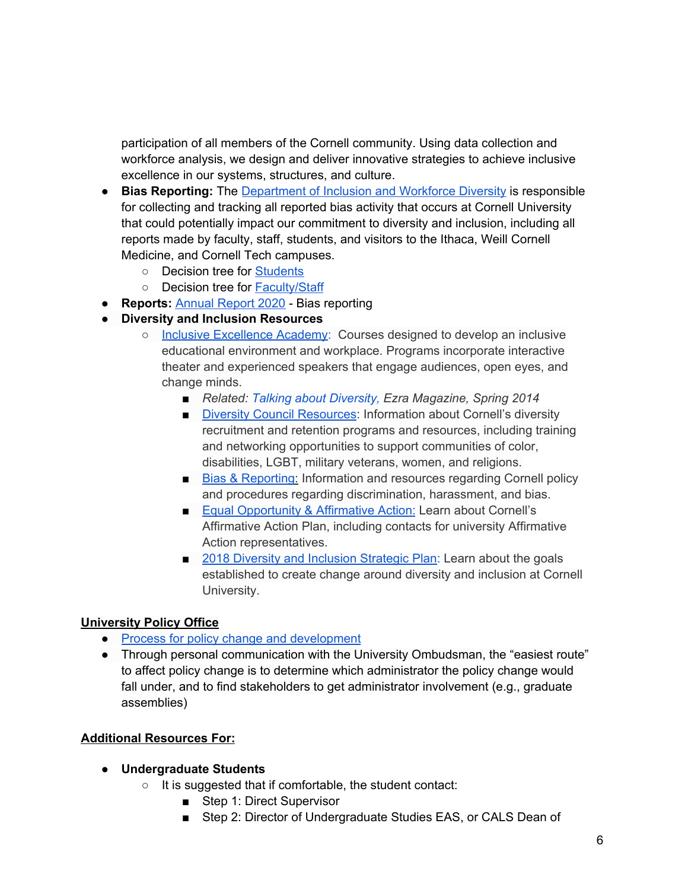participation of all members of the Cornell community. Using data collection and workforce analysis, we design and deliver innovative strategies to achieve inclusive excellence in our systems, structures, and culture.

- **● Bias Reporting:** The [Department](https://diversity.cornell.edu/department-inclusion-and-workforce-diversity) of Inclusion and Workforce Diversity is responsible for collecting and tracking all reported bias activity that occurs at Cornell University that could potentially impact our commitment to diversity and inclusion, including all reports made by faculty, staff, students, and visitors to the Ithaca, Weill Cornell Medicine, and Cornell Tech campuses.
	- **○** Decision tree for [Students](https://diversity.cornell.edu/our-commitments/bias-reporting-cornell/students)
	- **○** Decision tree for [Faculty/Staff](https://diversity.cornell.edu/our-commitments/bias-reporting-cornell/facultystaff)
- **● Reports:** [Annual](https://diversity.cornell.edu/sites/default/files/uploaded-files/FY20%20Bias%20Report%20final%2008.12.20.pdf) Report 2020 Bias reporting
- **Diversity and Inclusion Resources**
	- Inclusive [Excellence](https://diversity.cornell.edu/our-commitments/inclusive-excellence-network/inclusive-excellence-academy) Academy: Courses designed to develop an inclusive educational environment and workplace. Programs incorporate interactive theater and experienced speakers that engage audiences, open eyes, and change minds.
		- *Related: Talking about [Diversity](http://ezramagazine.cornell.edu/SPRING14/cover.html), Ezra Magazine, Spring 2014*
		- Diversity Council [Resources](https://diversity.cornell.edu/about-us/diversity-council-resources): Information about Cornell's diversity recruitment and retention programs and resources, including training and networking opportunities to support communities of color, disabilities, LGBT, military veterans, women, and religions.
		- Bias & [Reporting](https://hr.cornell.edu/our-culture-diversity/diversity-inclusion/harassment-discrimination-and-bias-reporting): Information and resources regarding Cornell policy and procedures regarding discrimination, harassment, and bias.
		- [Equ](https://hr.cornell.edu/our-culture-diversity/diversity-inclusion/eoaa)al [Opportunity](https://hr.cornell.edu/our-culture-diversity/diversity-inclusion/equal-opportunity-and-affirmative-action) & Affirmative Action: Learn about Cornell's Affirmative Action Plan, including contacts for university Affirmative Action representatives.
		- 2018 Diversity and [Inclusion](http://diversity.cornell.edu/sites/default/files/uploaded-files/Diversity%20Inclusion%20Strategic%20Plan.pdf) Strategic Plan: Learn about the goals established to create change around diversity and inclusion at Cornell University.

### **University Policy Office**

- Process for policy change and [development](https://www.dfa.cornell.edu/policy/development)
- Through personal communication with the University Ombudsman, the "easiest route" to affect policy change is to determine which administrator the policy change would fall under, and to find stakeholders to get administrator involvement (e.g., graduate assemblies)

## **Additional Resources For:**

### **● Undergraduate Students**

- **○** It is suggested that if comfortable, the student contact:
	- Step 1: Direct Supervisor
	- Step 2: Director of Undergraduate Studies EAS, or CALS Dean of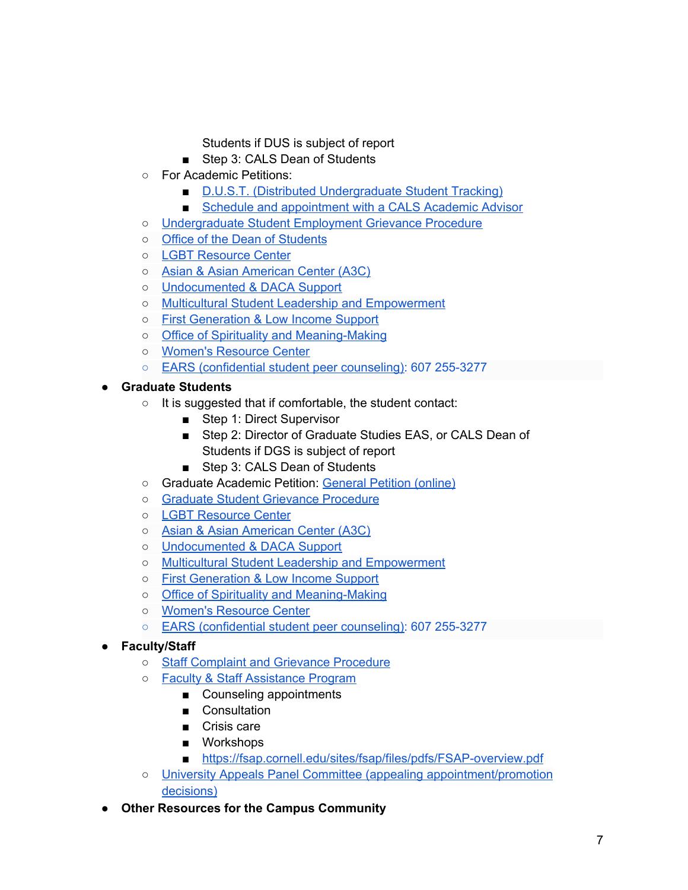Students if DUS is subject of report

- Step 3: CALS Dean of Students
- For Academic Petitions:
	- D.U.S.T. (Distributed [Undergraduate](https://dust.cals.cornell.edu/) Student Tracking)
	- Schedule and [appointment](https://cals.cornell.edu/undergraduate-students/student-services/contact-us) with a CALS Academic Advisor
- **○** [Undergraduate](https://studentemployment.cornell.edu/policies/grievance-procedures) Student Employment Grievance Procedure
- Office of the Dean of [Students](https://scl.cornell.edu/identity-resources/office-dean-students)
- LGBT [Resource](https://scl.cornell.edu/identity-resources/lgbt-resource-center) Center
- Asian & Asian [American](https://scl.cornell.edu/identity-resources/asian-asian-american-center-a3c) Center (A3C)
- [Undocumented](https://scl.cornell.edu/identity-resources/undocumented-daca-support) & DACA Support
- Multicultural Student Leadership and [Empowerment](https://scl.cornell.edu/identity-resources/multicultural-student-leadership-and-empowerment)
- First [Generation](https://scl.cornell.edu/identity-resources/first-generation-low-income-support) & Low Income Support
- Office of Spirituality and [Meaning-Making](https://scl.cornell.edu/osmm)
- Women's [Resource](https://scl.cornell.edu/identity-resources/womens-resource-center) Center
- EARS [\(confidential](http://ears.dos.cornell.edu/) student peer counseling): 607 255-3277

## **● Graduate Students**

- It is suggested that if comfortable, the student contact:
	- Step 1: Direct Supervisor
	- Step 2: Director of Graduate Studies EAS, or CALS Dean of Students if DGS is subject of report
	- Step 3: CALS Dean of Students
- Graduate Academic Petition: [General](https://qafederation.ngwebsolutions.com/sp/startSSO.ping?PartnerIdpId=https://shibidp.cit.cornell.edu/idp/shibboleth&TargetResource=https%3A%2F%2Fdynamicforms.ngwebsolutions.com%2FSubmit%2FForm%2FStart%2F9424c265-d538-408c-b4c5-3730d5fd293d) Petition (online)
- Graduate Student Grievance [Procedure](https://gradschool.cornell.edu/wp-content/uploads/2018/05/Grievance-Procedure-for-Graduate-Students-approved-April-2020.pdf)
- LGBT [Resource](https://scl.cornell.edu/identity-resources/lgbt-resource-center) Center
- Asian & Asian [American](https://scl.cornell.edu/identity-resources/asian-asian-american-center-a3c) Center (A3C)
- [Undocumented](https://scl.cornell.edu/identity-resources/undocumented-daca-support) & DACA Support
- Multicultural Student Leadership and [Empowerment](https://scl.cornell.edu/identity-resources/multicultural-student-leadership-and-empowerment)
- First [Generation](https://scl.cornell.edu/identity-resources/first-generation-low-income-support) & Low Income Support
- Office of Spirituality and [Meaning-Making](https://scl.cornell.edu/osmm)
- Women's [Resource](https://scl.cornell.edu/identity-resources/womens-resource-center) Center
- EARS [\(confidential](http://ears.dos.cornell.edu/) student peer counseling): 607 255-3277

## **● Faculty/Staff**

- Staff Complaint and Grievance [Procedure](https://hr.cornell.edu/sites/default/files/documents/staff%20complaint%20and%20grievance%20procedure_0.pdf)
- Faculty & Staff [Assistance](https://fsap.cornell.edu/) Program
	- Counseling appointments
		- Consultation
		- Crisis care
		- Workshops
	- <https://fsap.cornell.edu/sites/fsap/files/pdfs/FSAP-overview.pdf>
- University Appeals Panel Committee (appealing [appointment/promotion](https://cals.cornell.edu/faculty-staff/faculty-governance/standing-committees/university-appeals-panel-committee) [decisions\)](https://cals.cornell.edu/faculty-staff/faculty-governance/standing-committees/university-appeals-panel-committee)
- **● Other Resources for the Campus Community**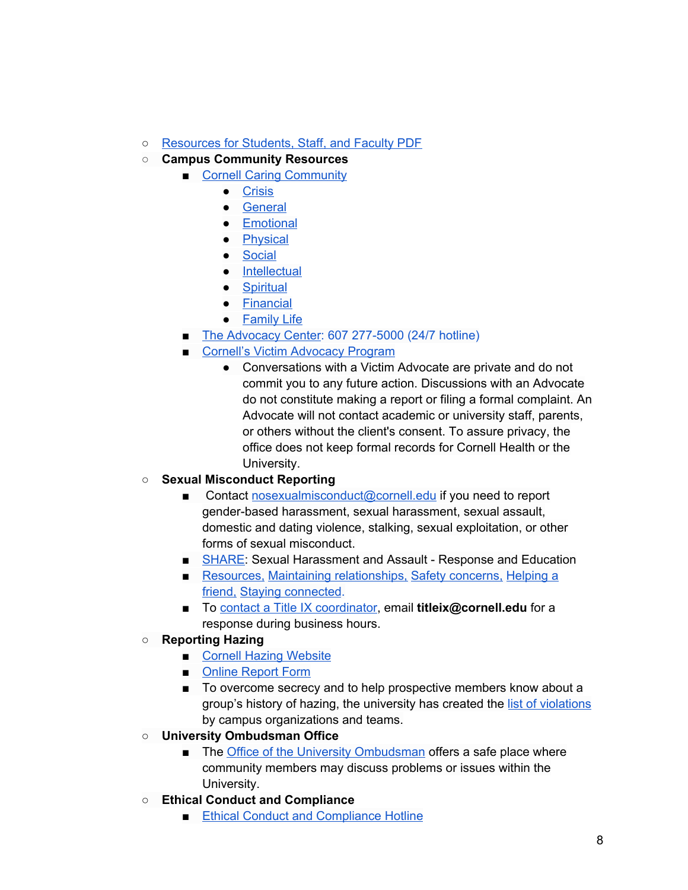- **○** [Resources](https://scl.cornell.edu/sites/scl/files/documents/Maxient-ResourceList.pdf) for Students, Staff, and Faculty PDF
- **Campus Community Resources**
	- Cornell Caring [Community](http://caringcommunity.cornell.edu/get-help/)
		- [Crisis](http://caringcommunity.cornell.edu/get-help/#crisis)
		- [General](http://caringcommunity.cornell.edu/get-help/#general)
		- [Emotional](http://caringcommunity.cornell.edu/get-help/#emotional)
		- [Physical](http://caringcommunity.cornell.edu/get-help/#physical)
		- [Social](http://caringcommunity.cornell.edu/get-help/#social)
		- [Intellectual](http://caringcommunity.cornell.edu/get-help/#intellectual)
		- [Spiritual](http://caringcommunity.cornell.edu/get-help/#social)
		- [Financial](http://caringcommunity.cornell.edu/get-help/#financial)
		- [Family](http://caringcommunity.cornell.edu/get-help/#familylife) Life
	- The [Advocacy](http://theadvocacycenter.org/) Center: 607 277-5000 (24/7 hotline)
	- Cornell's Victim [Advocacy](https://health.cornell.edu/services/victim-advocacy) Program
		- Conversations with a Victim Advocate are private and do not commit you to any future action. Discussions with an Advocate do not constitute making a report or filing a formal complaint. An Advocate will not contact academic or university staff, parents, or others without the client's consent. To assure privacy, the office does not keep formal records for Cornell Health or the University.

## **○ Sexual Misconduct Reporting**

- Contact [nosexualmisconduct@cornell.edu](mailto:nosexualmisconduct@cornell.edu) if you need to report gender-based harassment, sexual harassment, sexual assault, domestic and dating violence, stalking, sexual exploitation, or other forms of sexual misconduct.
- [SHARE:](http://www.share.cornell.edu/) Sexual Harassment and Assault Response and Education
- [Resources,](http://www.share.cornell.edu/during-covid-19/resources/) Maintaining [relationships,](http://www.share.cornell.edu/during-covid-19/maintaining-relationships/) Safety [concerns,](http://www.share.cornell.edu/during-covid-19/safety-concerns/) [Helping](http://www.share.cornell.edu/during-covid-19/helping-a-friend/) a [friend,](http://www.share.cornell.edu/during-covid-19/helping-a-friend/) Staying [connected](http://www.share.cornell.edu/during-covid-19/stay-connected/).
- To contact a Title IX [coordinator,](https://titleix.cornell.edu/about-us/) email **titleix@cornell.edu** for a response during business hours.
- **Reporting Hazing**
	- Cornell Hazing [Website](https://hazing.cornell.edu/)
	- Online [Report](https://hazing.cornell.edu/reporting) Form
	- To overcome secrecy and to help prospective members know about a group's history of hazing, the university has created the list of [violations](https://hazing.cornell.edu/violations) by campus organizations and teams.
- **University Ombudsman Office**
	- The Office of the University [Ombudsman](https://www.ombudsman.cornell.edu/) offers a safe place where community members may discuss problems or issues within the University.
- **Ethical Conduct and Compliance**
	- Ethical Conduct and [Compliance](https://secure.ethicspoint.com/domain/media/en/gui/6357/index.html) Hotline